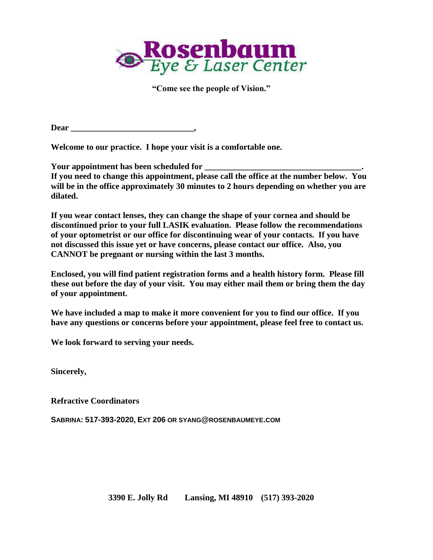

**"Come see the people of Vision."**

**Dear \_\_\_\_\_\_\_\_\_\_\_\_\_\_\_\_\_\_\_\_\_\_\_\_\_\_\_\_\_,**

**Welcome to our practice. I hope your visit is a comfortable one.**

**Your appointment has been scheduled for \_\_\_\_\_\_\_\_\_\_\_\_\_\_\_\_\_\_\_\_\_\_\_\_\_\_\_\_\_\_\_\_\_\_\_\_\_. If you need to change this appointment, please call the office at the number below. You will be in the office approximately 30 minutes to 2 hours depending on whether you are dilated.**

**If you wear contact lenses, they can change the shape of your cornea and should be discontinued prior to your full LASIK evaluation. Please follow the recommendations of your optometrist or our office for discontinuing wear of your contacts. If you have not discussed this issue yet or have concerns, please contact our office. Also, you CANNOT be pregnant or nursing within the last 3 months.**

**Enclosed, you will find patient registration forms and a health history form. Please fill these out before the day of your visit. You may either mail them or bring them the day of your appointment.**

**We have included a map to make it more convenient for you to find our office. If you have any questions or concerns before your appointment, please feel free to contact us.**

**We look forward to serving your needs.**

**Sincerely,**

**Refractive Coordinators**

**SABRINA: 517-393-2020, EXT 206 OR SYANG@ROSENBAUMEYE.COM**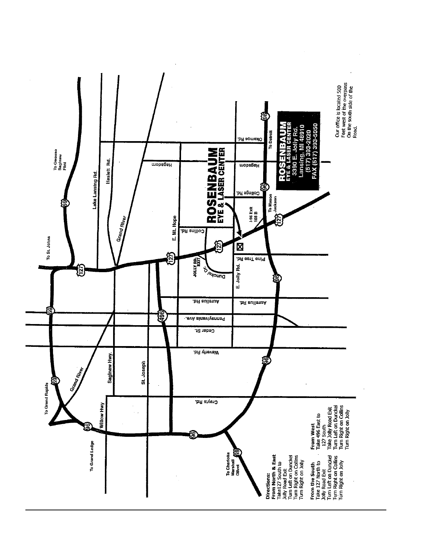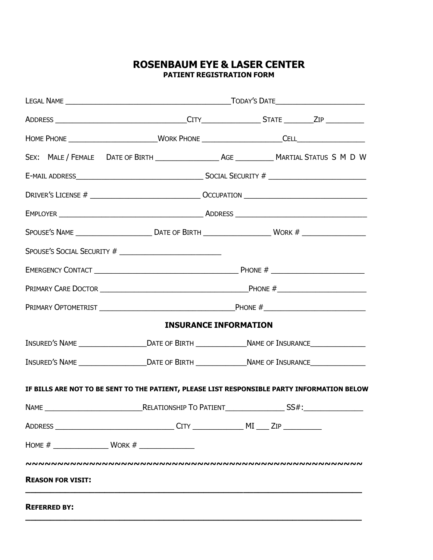### **ROSENBAUM EYE & LASER CENTER PATIENT REGISTRATION FORM**

|                                                                                                      | <b>INSURANCE INFORMATION</b> |                                                                                                      |  |  |  |  |
|------------------------------------------------------------------------------------------------------|------------------------------|------------------------------------------------------------------------------------------------------|--|--|--|--|
| INSURED'S NAME _______________________DATE OF BIRTH ________________NAME OF INSURANCE_______________ |                              |                                                                                                      |  |  |  |  |
|                                                                                                      |                              | INSURED'S NAME _______________________DATE OF BIRTH ________________NAME OF INSURANCE_______________ |  |  |  |  |
| IF BILLS ARE NOT TO BE SENT TO THE PATIENT, PLEASE LIST RESPONSIBLE PARTY INFORMATION BELOW          |                              |                                                                                                      |  |  |  |  |
|                                                                                                      |                              |                                                                                                      |  |  |  |  |
|                                                                                                      |                              |                                                                                                      |  |  |  |  |
| HOME # $\frac{1}{2}$ WORK # $\frac{1}{2}$                                                            |                              |                                                                                                      |  |  |  |  |
|                                                                                                      |                              |                                                                                                      |  |  |  |  |
| <b>REASON FOR VISIT:</b>                                                                             |                              |                                                                                                      |  |  |  |  |
| <b>REFERRED BY:</b>                                                                                  |                              |                                                                                                      |  |  |  |  |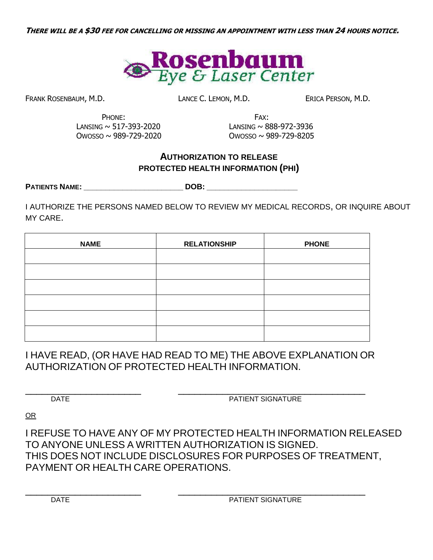

FRANK ROSENBAUM, M.D. **LANCE C. LEMON, M.D.** ERICA PERSON, M.D.

PHONE: FAX: LANSING  $\sim$  517-393-2020 LANSING  $\sim$  888-972-3936 OWOSSO ~ 989-729-2020 OWOSSO ~ 989-729-8205

# **AUTHORIZATION TO RELEASE PROTECTED HEALTH INFORMATION (PHI)**

**PATIENTS NAME: \_\_\_\_\_\_\_\_\_\_\_\_\_\_\_\_\_\_\_\_\_\_\_ DOB: \_\_\_\_\_\_\_\_\_\_\_\_\_\_\_\_\_\_\_\_\_**

I AUTHORIZE THE PERSONS NAMED BELOW TO REVIEW MY MEDICAL RECORDS, OR INQUIRE ABOUT MY CARE.

| <b>NAME</b> | <b>RELATIONSHIP</b> | <b>PHONE</b> |
|-------------|---------------------|--------------|
|             |                     |              |
|             |                     |              |
|             |                     |              |
|             |                     |              |
|             |                     |              |
|             |                     |              |

I HAVE READ, (OR HAVE HAD READ TO ME) THE ABOVE EXPLANATION OR AUTHORIZATION OF PROTECTED HEALTH INFORMATION.

\_\_\_\_\_\_\_\_\_\_\_\_\_\_\_\_\_\_\_\_\_ \_\_\_\_\_\_\_\_\_\_\_\_\_\_\_\_\_\_\_\_\_\_\_\_\_\_\_\_\_\_\_\_\_\_ DATE **DATE** PATIENT SIGNATURE

OR

I REFUSE TO HAVE ANY OF MY PROTECTED HEALTH INFORMATION RELEASED TO ANYONE UNLESS A WRITTEN AUTHORIZATION IS SIGNED. THIS DOES NOT INCLUDE DISCLOSURES FOR PURPOSES OF TREATMENT, PAYMENT OR HEALTH CARE OPERATIONS.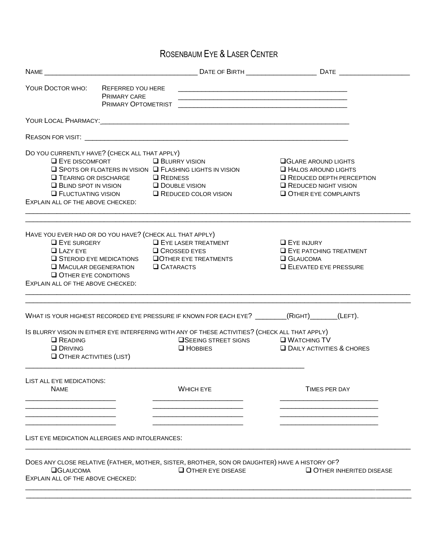# ROSENBAUM EYE & LASER CENTER

| NAME <b>NAME</b>                                                                                                                                                                                                                                                                    |                                                                                                           |                                                                                                                                                          |
|-------------------------------------------------------------------------------------------------------------------------------------------------------------------------------------------------------------------------------------------------------------------------------------|-----------------------------------------------------------------------------------------------------------|----------------------------------------------------------------------------------------------------------------------------------------------------------|
| YOUR DOCTOR WHO:<br>REFERRED YOU HERE<br>PRIMARY CARE<br>PRIMARY OPTOMETRIST                                                                                                                                                                                                        |                                                                                                           |                                                                                                                                                          |
|                                                                                                                                                                                                                                                                                     |                                                                                                           |                                                                                                                                                          |
|                                                                                                                                                                                                                                                                                     |                                                                                                           |                                                                                                                                                          |
| DO YOU CURRENTLY HAVE? (CHECK ALL THAT APPLY)<br><b>EYE DISCOMFORT</b><br>$\square$ Spots or FLOATERS IN VISION $\square$ FLASHING LIGHTS IN VISION<br>$\Box$ TEARING OR DISCHARGE<br>$\Box$ BLIND SPOT IN VISION<br>$\Box$ FLUCTUATING VISION<br>EXPLAIN ALL OF THE ABOVE CHECKED: | <b>BLURRY VISION</b><br><b>Q</b> REDNESS<br>$\Box$ DOUBLE VISION<br>REDUCED COLOR VISION                  | <b>OGLARE AROUND LIGHTS</b><br><b>E HALOS AROUND LIGHTS</b><br><b>Q</b> REDUCED DEPTH PERCEPTION<br><b>EXECUTED NIGHT VISION</b><br>OTHER EYE COMPLAINTS |
| HAVE YOU EVER HAD OR DO YOU HAVE? (CHECK ALL THAT APPLY)<br><b>LEYE SURGERY</b><br><b>LAZY EYE</b><br>$\square$ STEROID EYE MEDICATIONS<br><b>NACULAR DEGENERATION</b><br>$\Box$ OTHER EYE CONDITIONS<br>EXPLAIN ALL OF THE ABOVE CHECKED:                                          | <b>EYE LASER TREATMENT</b><br><b>Q</b> CROSSED EYES<br><b>QOTHER EYE TREATMENTS</b><br><b>Q</b> CATARACTS | <b>EYE INJURY</b><br><b>EYE PATCHING TREATMENT</b><br><b>Q</b> GLAUCOMA<br><b>ELEVATED EYE PRESSURE</b>                                                  |
| WHAT IS YOUR HIGHEST RECORDED EYE PRESSURE IF KNOWN FOR EACH EYE? (RIGHT) (LEFT).                                                                                                                                                                                                   |                                                                                                           |                                                                                                                                                          |
| IS BLURRY VISION IN EITHER EYE INTERFERING WITH ANY OF THESE ACTIVITIES? (CHECK ALL THAT APPLY)<br><b>Q</b> READING<br><b>Q</b> DRIVING<br>$\Box$ OTHER ACTIVITIES (LIST)                                                                                                           | $\Box$ SEEING STREET SIGNS $\Box$ WATCHING TV<br>$\Box$ HOBBIES                                           | <b>DAILY ACTIVITIES &amp; CHORES</b>                                                                                                                     |
| LIST ALL EYE MEDICATIONS:<br><b>NAME</b>                                                                                                                                                                                                                                            | <b>WHICH EYE</b>                                                                                          | <b>TIMES PER DAY</b>                                                                                                                                     |
| LIST EYE MEDICATION ALLERGIES AND INTOLERANCES:                                                                                                                                                                                                                                     |                                                                                                           |                                                                                                                                                          |
| DOES ANY CLOSE RELATIVE (FATHER, MOTHER, SISTER, BROTHER, SON OR DAUGHTER) HAVE A HISTORY OF?<br><b>OGLAUCOMA</b><br>EXPLAIN ALL OF THE ABOVE CHECKED:                                                                                                                              | O OTHER EYE DISEASE                                                                                       | OTHER INHERITED DISEASE                                                                                                                                  |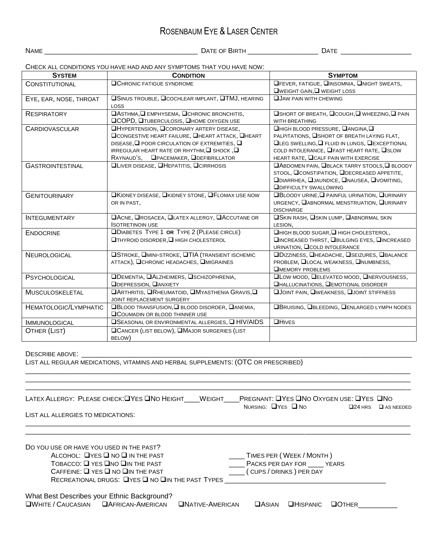### ROSENBAUM EYE & LASER CENTER

NAME \_\_\_\_\_\_\_\_\_\_\_\_\_\_\_\_\_\_\_\_\_\_\_\_\_\_\_\_\_\_\_\_\_\_\_\_\_\_\_ DATE OF BIRTH \_\_\_\_\_\_\_\_\_\_\_\_\_\_\_\_\_\_ DATE \_\_\_\_\_\_\_\_\_\_\_\_\_\_\_\_\_\_

CHECK ALL CONDITIONS YOU HAVE HAD AND ANY SYMPTOMS THAT YOU HAVE NOW:

| <b>SYSTEM</b>           | <b>CONDITION</b>                                                               | <b>SYMPTOM</b>                                       |  |  |
|-------------------------|--------------------------------------------------------------------------------|------------------------------------------------------|--|--|
| <b>CONSTITUTIONAL</b>   | <b>QCHRONIC FATIGUE SYNDROME</b>                                               | <b>OFEVER, FATIGUE, OINSOMNIA, ONIGHT SWEATS,</b>    |  |  |
|                         |                                                                                | $\Box$ WEIGHT GAIN, $\Box$ WEIGHT LOSS               |  |  |
| EYE, EAR, NOSE, THROAT  | <b>OSINUS TROUBLE, OCCHLEAR IMPLANT, OTMJ, HEARING</b>                         | <b>QUAW PAIN WITH CHEWING</b>                        |  |  |
|                         | LOSS                                                                           |                                                      |  |  |
| <b>RESPIRATORY</b>      | <b>□ASTHMA, □ EMPHYSEMA, □CHRONIC BRONCHITIS,</b>                              | <b>□SHORT OF BREATH, □COUGH, □ WHEEZING, □ PAIN</b>  |  |  |
|                         | <b>QCOPD, QTUBERCULOSIS, QHOME OXYGEN USE</b>                                  | WITH BREATHING                                       |  |  |
| <b>CARDIOVASCULAR</b>   | <b>OHYPERTENSION, OCORONARY ARTERY DISEASE,</b>                                | <b>QHIGH BLOOD PRESSURE, QANGINA, Q</b>              |  |  |
|                         | <b>OCONGESTIVE HEART FAILURE, OHEART ATTACK, OHEART</b>                        | PALPITATIONS, <b>SHORT OF BREATH LAYING FLAT,</b>    |  |  |
|                         | DISEASE, $\square$ POOR CIRCULATION OF EXTREMITIES, $\square$                  | <b>QLEG SWELLING, Q FLUID IN LUNGS, QEXCEPTIONAL</b> |  |  |
|                         | IRREGULAR HEART RATE OR RHYTHM, $\square$ SHOCK, $\square$                     | COLD INTOLERANCE, <b>LEAST HEART RATE, LISLOW</b>    |  |  |
|                         | RAYNAUD'S, OPACEMAKER, ODEFIBRILLATOR                                          | HEART RATE, CCALF PAIN WITH EXERCISE                 |  |  |
| <b>GASTROINTESTINAL</b> | <b>QLIVER DISEASE, QHEPATITIS, QCIRRHOSIS</b>                                  | <b>QABDOMEN PAIN, QBLACK TARRY STOOLS, Q BLOODY</b>  |  |  |
|                         |                                                                                | STOOL, CONSTIPATION, ODECREASED APPETITE,            |  |  |
|                         |                                                                                | <b>ODIARRHEA, QUAUNDICE, QNAUSEA, QVOMITING,</b>     |  |  |
|                         |                                                                                | <b>ODIFFICULTY SWALLOWING</b>                        |  |  |
| <b>GENITOURINARY</b>    | <b>OKIDNEY DISEASE, OKIDNEY STONE, OF LOMAX USE NOW</b>                        | <b>OBLOODY URINE, O PAINFUL URINATION, QURINARY</b>  |  |  |
|                         | OR IN PAST,                                                                    | URGENCY, <b>NABNORMAL MENSTRUATION, NURINARY</b>     |  |  |
|                         |                                                                                | <b>DISCHARGE</b>                                     |  |  |
| <b>INTEGUMENTARY</b>    | <b>OACNE, OROSACEA, OLATEX ALLERGY, OACCUTANE OR</b>                           | <b>OSKIN RASH, OSKIN LUMP, QABNORMAL SKIN</b>        |  |  |
|                         | <b>ISOTRETINOIN USE</b>                                                        | LESION,                                              |  |  |
| <b>ENDOCRINE</b>        | <b>QDIABETES TYPE 1 OR TYPE 2 (PLEASE CIRCLE)</b>                              | □HIGH BLOOD SUGAR, □ HIGH CHOLESTEROL,               |  |  |
|                         | □ THYROID DISORDER, □ HIGH CHOLESTEROL                                         | <b>QINCREASED THIRST, QBULGING EYES, QINCREASED</b>  |  |  |
|                         |                                                                                | URINATION, <b>QCOLD INTOLERANCE</b>                  |  |  |
| NEUROLOGICAL            | <b>OSTROKE, OMINI-STROKE, OTIA (TRANSIENT ISCHEMIC</b>                         | <b>ODIZZINESS, OHEADACHE, OSEIZURES, OBALANCE</b>    |  |  |
|                         | ATTACK), OCHRONIC HEADACHES, OMIGRAINES                                        | PROBLEM, LLOCAL WEAKNESS, LNUMBNESS,                 |  |  |
|                         |                                                                                | <b>OMEMORY PROBLEMS</b>                              |  |  |
| PSYCHOLOGICAL           | <b>ODEMENTIA, OALZHEIMERS, OSCHIZOPHRENIA,</b><br><b>ODEPRESSION, OANXIETY</b> | <b>QLOW MOOD, QELEVATED MOOD, QNERVOUSNESS,</b>      |  |  |
|                         |                                                                                | <b>QHALLUCINATIONS, QEMOTIONAL DISORDER</b>          |  |  |
| <b>MUSCULOSKELETAL</b>  | <b>OARTHRITIS, ORHEUMATOID, OMYASTHENIA GRAVIS, O</b>                          | <b>OJOINT PAIN, OWEAKNESS, QJOINT STIFFNESS</b>      |  |  |
|                         | JOINT REPLACEMENT SURGERY                                                      |                                                      |  |  |
| HEMATOLOGIC/LYMPHATIC   | $\Box$ BLOOD TRANSFUSION, $\Box$ BLOOD DISORDER, $\Box$ ANEMIA,                | <b>OBRUISING, OBLEEDING, OENLARGED LYMPH NODES</b>   |  |  |
|                         | <b>QCOUMADIN OR BLOOD THINNER USE</b>                                          |                                                      |  |  |
| <b>IMMUNOLOGICAL</b>    | $\square$ SEASONAL OR ENVIRONMENTAL ALLERGIES, $\square$ HIV/AIDS              | <b>QHIVES</b>                                        |  |  |
| OTHER (LIST)            | <b>OCANCER (LIST BELOW), OMAJOR SURGERIES (LIST</b>                            |                                                      |  |  |
|                         | BELOW)                                                                         |                                                      |  |  |

#### DESCRIBE ABOVE: \_\_\_\_\_\_\_\_\_\_\_\_\_\_\_\_\_\_\_\_\_\_\_\_\_\_\_\_\_\_\_\_\_\_\_\_\_\_\_\_\_\_\_\_\_\_\_\_\_\_\_\_\_\_\_\_\_\_\_\_\_\_\_\_\_\_\_\_\_\_\_\_\_\_\_\_\_\_\_\_\_\_\_\_

LIST ALL REGULAR MEDICATIONS, VITAMINS AND HERBAL SUPPLEMENTS: (OTC OR PRESCRIBED)

| LATEX ALLERGY:  PLEASE CHECK:QYES QNO HEIGHT          WEIGHT          PREGNANT: QYES QNO OXYGEN USE: QYES  QNO                                                                                                                                                       | NURSING: $\Box$ YES $\Box$ NO |                                                                                | $\square$ 24 HRS | $\square$ AS NEEDED |
|----------------------------------------------------------------------------------------------------------------------------------------------------------------------------------------------------------------------------------------------------------------------|-------------------------------|--------------------------------------------------------------------------------|------------------|---------------------|
| LIST ALL ALLERGIES TO MEDICATIONS:                                                                                                                                                                                                                                   |                               |                                                                                |                  |                     |
| DO YOU USE OR HAVE YOU USED IN THE PAST?<br>ALCOHOL: $\Box$ YES $\Box$ NO $\Box$ IN THE PAST<br>$ToBACCO: \square$ YES $\square$ NO $\square$ IN THE PAST<br>$C$ AFFEINE: $\Box$ YES $\Box$ NO $\Box$ IN THE PAST<br>RECREATIONAL DRUGS: UYES UNO UIN THE PAST TYPES |                               | TIMES PER (WEEK / MONTH)<br>PACKS PER DAY FOR YEARS<br>(CUPS / DRINKS) PER DAY |                  |                     |
| What Best Describes your Ethnic Background?<br><b>QWHITE / CAUCASIAN QAFRICAN-AMERICAN QNATIVE-AMERICAN</b>                                                                                                                                                          | $\Box$ ASIAN                  | $\Box$ HISPANIC                                                                | $\Box$ OTHER     |                     |

\_\_\_\_\_\_\_\_\_\_\_\_\_\_\_\_\_\_\_\_\_\_\_\_\_\_\_\_\_\_\_\_\_\_\_\_\_\_\_\_\_\_\_\_\_\_\_\_\_\_\_\_\_\_\_\_\_\_\_\_\_\_\_\_\_\_\_\_\_\_\_\_\_\_\_\_\_\_\_\_\_\_\_\_\_\_\_\_\_\_\_\_\_\_\_\_\_\_  $\Box$